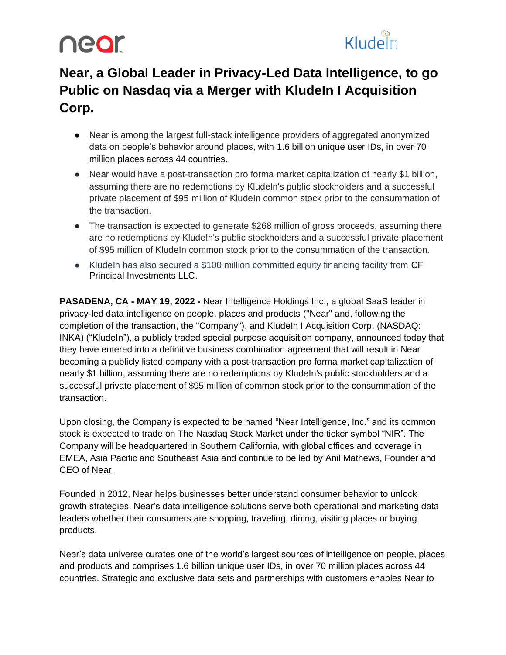### near



### **Near, a Global Leader in Privacy-Led Data Intelligence, to go Public on Nasdaq via a Merger with KludeIn I Acquisition Corp.**

- Near is among the largest full-stack intelligence providers of aggregated anonymized data on people's behavior around places, with 1.6 billion unique user IDs, in over 70 million places across 44 countries.
- Near would have a post-transaction pro forma market capitalization of nearly \$1 billion, assuming there are no redemptions by KludeIn's public stockholders and a successful private placement of \$95 million of KludeIn common stock prior to the consummation of the transaction.
- The transaction is expected to generate \$268 million of gross proceeds, assuming there are no redemptions by KludeIn's public stockholders and a successful private placement of \$95 million of KludeIn common stock prior to the consummation of the transaction.
- KludeIn has also secured a \$100 million committed equity financing facility from CF Principal Investments LLC.

**PASADENA, CA - MAY 19, 2022 -** [Near](https://near.com/) Intelligence Holdings Inc., a global SaaS leader in privacy-led data intelligence on people, places and products ("Near" and, following the completion of the transaction, the "Company"), an[d](https://www.kludein.com/) Kludeln I Acquisition Corp. (NASDAQ: INKA) ("KludeIn"), a publicly traded special purpose acquisition company, announced today that they have entered into a definitive business combination agreement that will result in Near becoming a publicly listed company with a post-transaction pro forma market capitalization of nearly \$1 billion, assuming there are no redemptions by KludeIn's public stockholders and a successful private placement of \$95 million of common stock prior to the consummation of the transaction.

Upon closing, the Company is expected to be named "Near Intelligence, Inc." and its common stock is expected to trade on The Nasdaq Stock Market under the ticker symbol "NIR". The Company will be headquartered in Southern California, with global offices and coverage in EMEA, Asia Pacific and Southeast Asia and continue to be led by Anil Mathews, Founder and CEO of Near.

Founded in 2012, Near helps businesses better understand consumer behavior to unlock growth strategies. Near's data intelligence solutions serve both operational and marketing data leaders whether their consumers are shopping, traveling, dining, visiting places or buying products.

Near's data universe curates one of the world's largest sources of intelligence on people, places and products and comprises 1.6 billion unique user IDs, in over 70 million places across 44 countries. Strategic and exclusive data sets and partnerships with customers enables Near to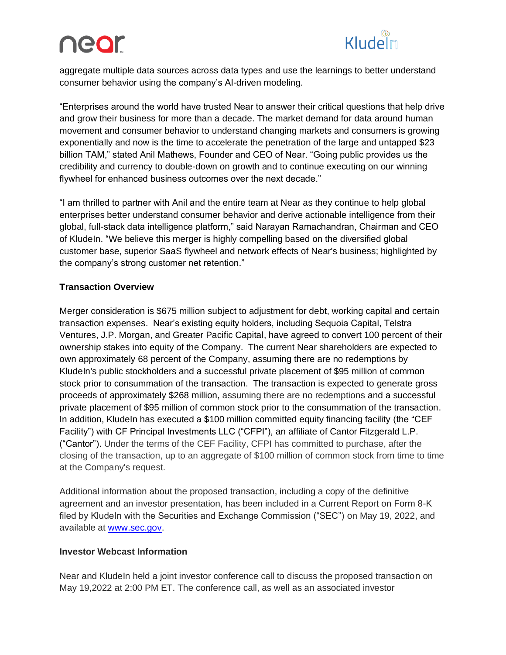# near



aggregate multiple data sources across data types and use the learnings to better understand consumer behavior using the company's AI-driven modeling.

"Enterprises around the world have trusted Near to answer their critical questions that help drive and grow their business for more than a decade. The market demand for data around human movement and consumer behavior to understand changing markets and consumers is growing exponentially and now is the time to accelerate the penetration of the large and untapped \$23 billion TAM," stated Anil Mathews, Founder and CEO of Near. "Going public provides us the credibility and currency to double-down on growth and to continue executing on our winning flywheel for enhanced business outcomes over the next decade."

"I am thrilled to partner with Anil and the entire team at Near as they continue to help global enterprises better understand consumer behavior and derive actionable intelligence from their global, full-stack data intelligence platform," said Narayan Ramachandran, Chairman and CEO of KludeIn. "We believe this merger is highly compelling based on the diversified global customer base, superior SaaS flywheel and network effects of Near's business; highlighted by the company's strong customer net retention."

#### **Transaction Overview**

Merger consideration is \$675 million subject to adjustment for debt, working capital and certain transaction expenses. Near's existing equity holders, including Sequoia Capital, Telstra Ventures, J.P. Morgan, and Greater Pacific Capital, have agreed to convert 100 percent of their ownership stakes into equity of the Company. The current Near shareholders are expected to own approximately 68 percent of the Company, assuming there are no redemptions by KludeIn's public stockholders and a successful private placement of \$95 million of common stock prior to consummation of the transaction. The transaction is expected to generate gross proceeds of approximately \$268 million, assuming there are no redemptions and a successful private placement of \$95 million of common stock prior to the consummation of the transaction. In addition, KludeIn has executed a \$100 million committed equity financing facility (the "CEF Facility") with CF Principal Investments LLC ("CFPI"), an affiliate of Cantor Fitzgerald L.P. ("Cantor"). Under the terms of the CEF Facility, CFPI has committed to purchase, after the closing of the transaction, up to an aggregate of \$100 million of common stock from time to time at the Company's request.

Additional information about the proposed transaction, including a copy of the definitive agreement and an investor presentation, has been included in a Current Report on Form 8-K filed by KludeIn with the Securities and Exchange Commission ("SEC") on May 19, 2022, and available a[t](http://www.sec.gov/) [www.sec.gov.](http://www.sec.gov/)

#### **Investor Webcast Information**

Near and Kludeln held a joint investor conference call to discuss the proposed transaction on May 19,2022 at 2:00 PM ET. The conference call, as well as an associated investor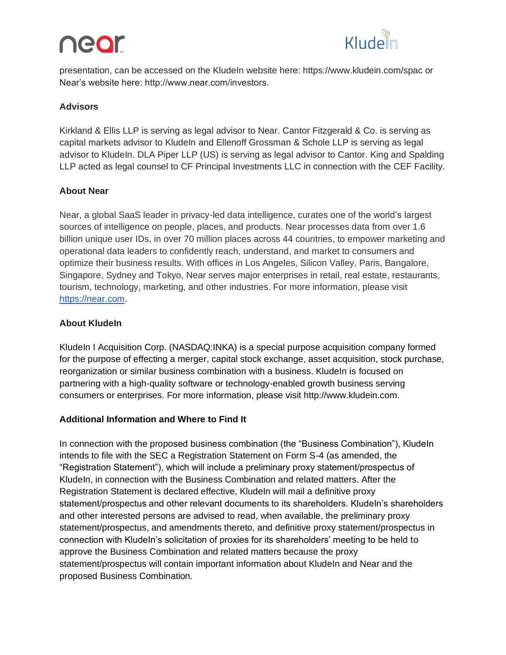### neor



presentation, can be accessed on the KludeIn website here: https://www.kludein.com/spac or Near's website here: http://www.near.com/investors.

#### **Advisors**

Kirkland & Ellis LLP is serving as legal advisor to Near. Cantor Fitzgerald & Co. is serving as capital markets advisor to Kludeln and Ellenoff Grossman & Schole LLP is serving as legal advisor to Kludeln. DLA Piper LLP (US) is serving as legal advisor to Cantor. King and Spalding LLP acted as legal counsel to CF Principal Investments LLC in connection with the CEF Facility.

#### **About Near**

Near, a global SaaS leader in privacy-led data intelligence, curates one of the world's largest sources of intelligence on people, places, and products. Near processes data from over 1.6 billion unique user IDs, in over 70 million places across 44 countries, to empower marketing and operational data leaders to confidently reach, understand, and market to consumers and optimize their business results. With offices in Los Angeles, Silicon Valley, Paris, Bangalore, Singapore, Sydney and Tokyo, Near serves major enterprises in retail, real estate, restaurants, tourism, technology, marketing, and other industries. For more information, please visit [https://near.com.](https://near.com/)

#### **About KludeIn**

Kludeln I Acquisition Corp. (NASDAQ:INKA) is a special purpose acquisition company formed for the purpose of effecting a merger, capital stock exchange, asset acquisition, stock purchase, reorganization or similar business combination with a business. KludeIn is focused on partnering with a high-quality software or technology-enabled growth business serving consumers or enterprises. For more information, please visit http://www.kludein.com.

#### **Additional Information and Where to Find It**

In connection with the proposed business combination (the "Business Combination"), KludeIn intends to file with the SEC a Registration Statement on Form S-4 (as amended, the "Registration Statement"), which will include a preliminary proxy statement/prospectus of KludeIn, in connection with the Business Combination and related matters. After the Registration Statement is declared effective, KludeIn will mail a definitive proxy statement/prospectus and other relevant documents to its shareholders. KludeIn's shareholders and other interested persons are advised to read, when available, the preliminary proxy statement/prospectus, and amendments thereto, and definitive proxy statement/prospectus in connection with KludeIn's solicitation of proxies for its shareholders' meeting to be held to approve the Business Combination and related matters because the proxy statement/prospectus will contain important information about KludeIn and Near and the proposed Business Combination.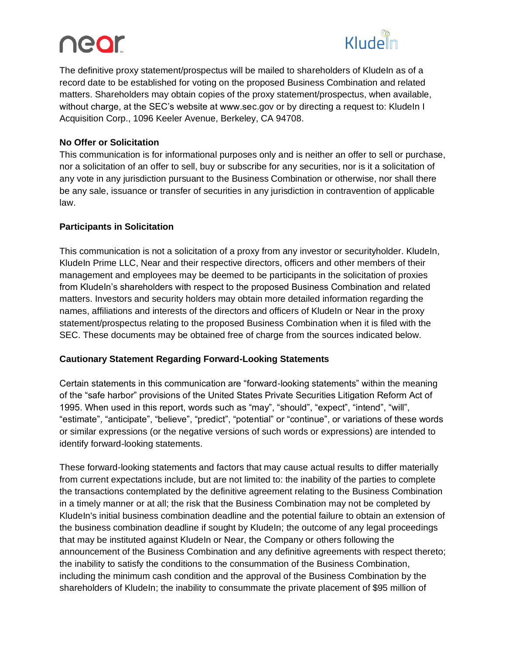# near



The definitive proxy statement/prospectus will be mailed to shareholders of KludeIn as of a record date to be established for voting on the proposed Business Combination and related matters. Shareholders may obtain copies of the proxy statement/prospectus, when available, without charge, at the SEC's website at www.sec.gov or by directing a request to: KludeIn I Acquisition Corp., 1096 Keeler Avenue, Berkeley, CA 94708.

#### **No Offer or Solicitation**

This communication is for informational purposes only and is neither an offer to sell or purchase, nor a solicitation of an offer to sell, buy or subscribe for any securities, nor is it a solicitation of any vote in any jurisdiction pursuant to the Business Combination or otherwise, nor shall there be any sale, issuance or transfer of securities in any jurisdiction in contravention of applicable law.

#### **Participants in Solicitation**

This communication is not a solicitation of a proxy from any investor or securityholder. KludeIn, Kludeln Prime LLC, Near and their respective directors, officers and other members of their management and employees may be deemed to be participants in the solicitation of proxies from KludeIn's shareholders with respect to the proposed Business Combination and related matters. Investors and security holders may obtain more detailed information regarding the names, affiliations and interests of the directors and officers of KludeIn or Near in the proxy statement/prospectus relating to the proposed Business Combination when it is filed with the SEC. These documents may be obtained free of charge from the sources indicated below.

#### **Cautionary Statement Regarding Forward-Looking Statements**

Certain statements in this communication are "forward-looking statements" within the meaning of the "safe harbor" provisions of the United States Private Securities Litigation Reform Act of 1995. When used in this report, words such as "may", "should", "expect", "intend", "will", "estimate", "anticipate", "believe", "predict", "potential" or "continue", or variations of these words or similar expressions (or the negative versions of such words or expressions) are intended to identify forward-looking statements.

These forward-looking statements and factors that may cause actual results to differ materially from current expectations include, but are not limited to: the inability of the parties to complete the transactions contemplated by the definitive agreement relating to the Business Combination in a timely manner or at all; the risk that the Business Combination may not be completed by KludeIn's initial business combination deadline and the potential failure to obtain an extension of the business combination deadline if sought by KludeIn; the outcome of any legal proceedings that may be instituted against KludeIn or Near, the Company or others following the announcement of the Business Combination and any definitive agreements with respect thereto; the inability to satisfy the conditions to the consummation of the Business Combination, including the minimum cash condition and the approval of the Business Combination by the shareholders of KludeIn; the inability to consummate the private placement of \$95 million of